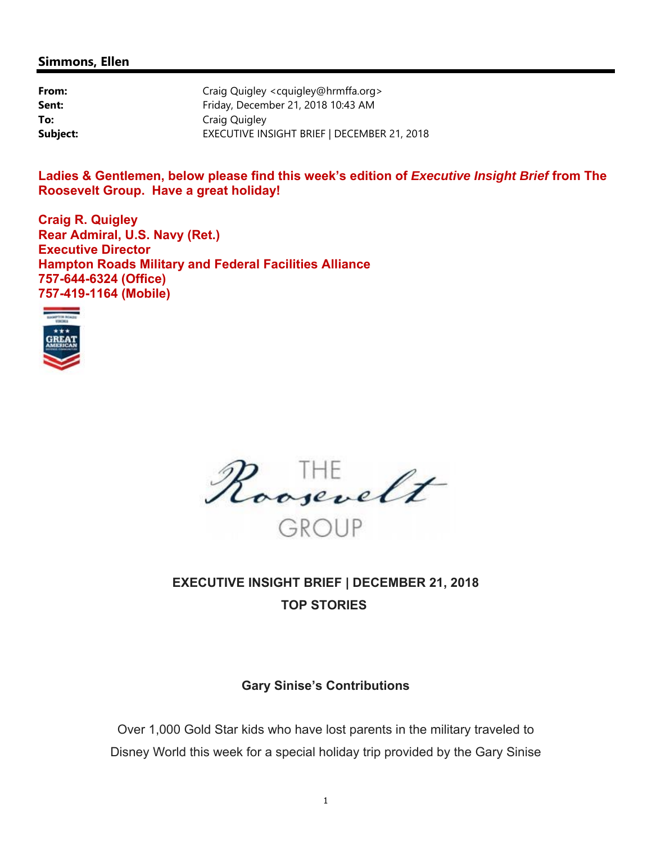#### **Simmons, Ellen**

| From:    | Craig Quigley <cquigley@hrmffa.org></cquigley@hrmffa.org> |
|----------|-----------------------------------------------------------|
| Sent:    | Friday, December 21, 2018 10:43 AM                        |
| To:      | Craig Quigley                                             |
| Subject: | EXECUTIVE INSIGHT BRIEF   DECEMBER 21, 2018               |

**Ladies & Gentlemen, below please find this week's edition of** *Executive Insight Brief* **from The Roosevelt Group. Have a great holiday!** 

**Craig R. Quigley Rear Admiral, U.S. Navy (Ret.) Executive Director Hampton Roads Military and Federal Facilities Alliance 757-644-6324 (Office) 757-419-1164 (Mobile)** 



Roosevelt GROUP

## **EXECUTIVE INSIGHT BRIEF | DECEMBER 21, 2018 TOP STORIES**

#### **Gary Sinise's Contributions**

Over 1,000 Gold Star kids who have lost parents in the military traveled to Disney World this week for a special holiday trip provided by the Gary Sinise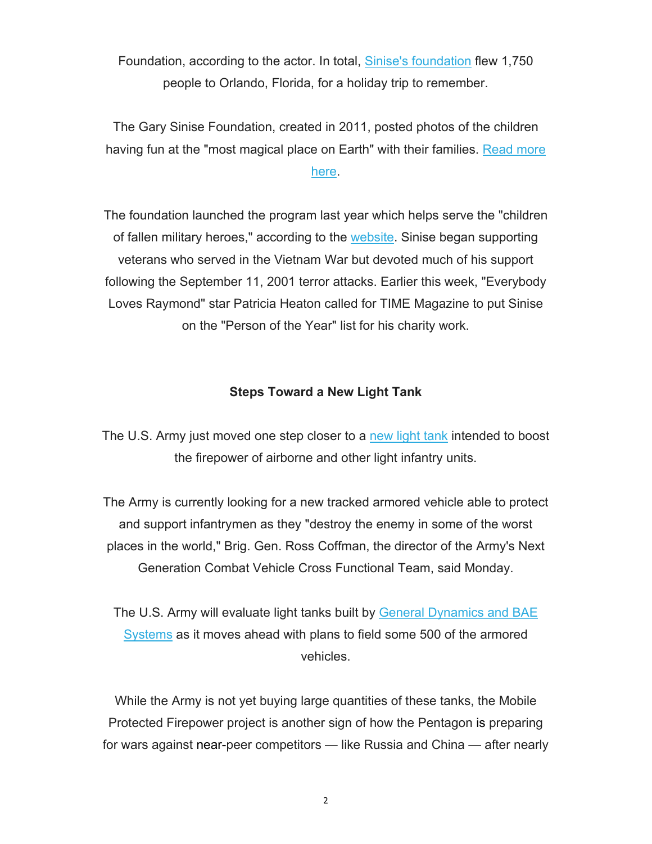Foundation, according to the actor. In total, Sinise's foundation flew 1,750 people to Orlando, Florida, for a holiday trip to remember.

The Gary Sinise Foundation, created in 2011, posted photos of the children having fun at the "most magical place on Earth" with their families. Read more here.

# The foundation launched the program last year which helps serve the "children of fallen military heroes," according to the website. Sinise began supporting veterans who served in the Vietnam War but devoted much of his support following the September 11, 2001 terror attacks. Earlier this week, "Everybody Loves Raymond" star Patricia Heaton called for TIME Magazine to put Sinise on the "Person of the Year" list for his charity work.

### **Steps Toward a New Light Tank**

The U.S. Army just moved one step closer to a new light tank intended to boost the firepower of airborne and other light infantry units.

The Army is currently looking for a new tracked armored vehicle able to protect and support infantrymen as they "destroy the enemy in some of the worst places in the world," Brig. Gen. Ross Coffman, the director of the Army's Next Generation Combat Vehicle Cross Functional Team, said Monday.

The U.S. Army will evaluate light tanks built by General Dynamics and BAE Systems as it moves ahead with plans to field some 500 of the armored vehicles.

While the Army is not yet buying large quantities of these tanks, the Mobile Protected Firepower project is another sign of how the Pentagon is preparing for wars against near-peer competitors — like Russia and China — after nearly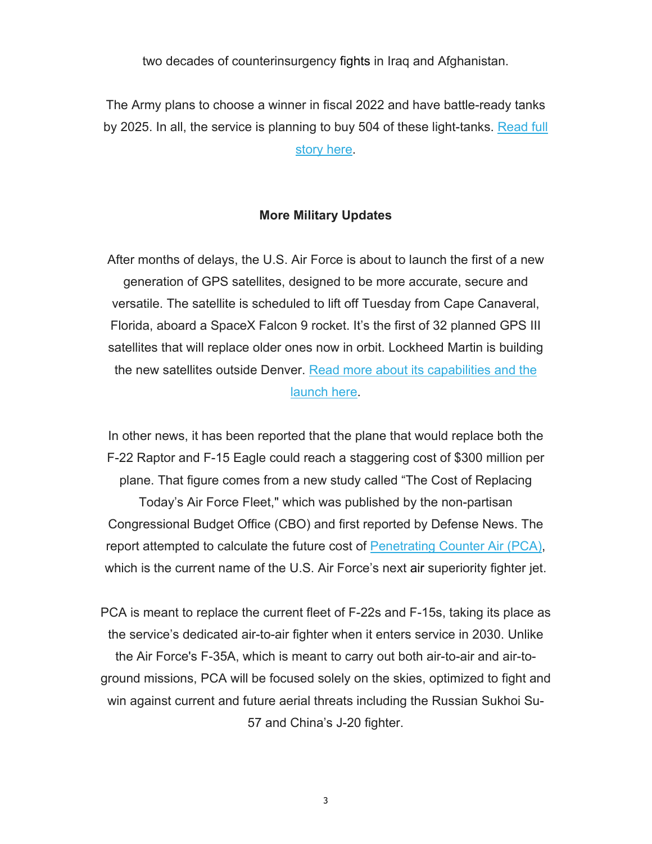two decades of counterinsurgency fights in Iraq and Afghanistan.

The Army plans to choose a winner in fiscal 2022 and have battle-ready tanks by 2025. In all, the service is planning to buy 504 of these light-tanks. Read full story here.

#### **More Military Updates**

After months of delays, the U.S. Air Force is about to launch the first of a new generation of GPS satellites, designed to be more accurate, secure and versatile. The satellite is scheduled to lift off Tuesday from Cape Canaveral, Florida, aboard a SpaceX Falcon 9 rocket. It's the first of 32 planned GPS III satellites that will replace older ones now in orbit. Lockheed Martin is building the new satellites outside Denver. Read more about its capabilities and the launch here.

In other news, it has been reported that the plane that would replace both the F-22 Raptor and F-15 Eagle could reach a staggering cost of \$300 million per plane. That figure comes from a new study called "The Cost of Replacing

Today's Air Force Fleet," which was published by the non-partisan Congressional Budget Office (CBO) and first reported by Defense News. The report attempted to calculate the future cost of Penetrating Counter Air (PCA), which is the current name of the U.S. Air Force's next air superiority fighter jet.

PCA is meant to replace the current fleet of F-22s and F-15s, taking its place as the service's dedicated air-to-air fighter when it enters service in 2030. Unlike the Air Force's F-35A, which is meant to carry out both air-to-air and air-toground missions, PCA will be focused solely on the skies, optimized to fight and win against current and future aerial threats including the Russian Sukhoi Su-57 and China's J-20 fighter.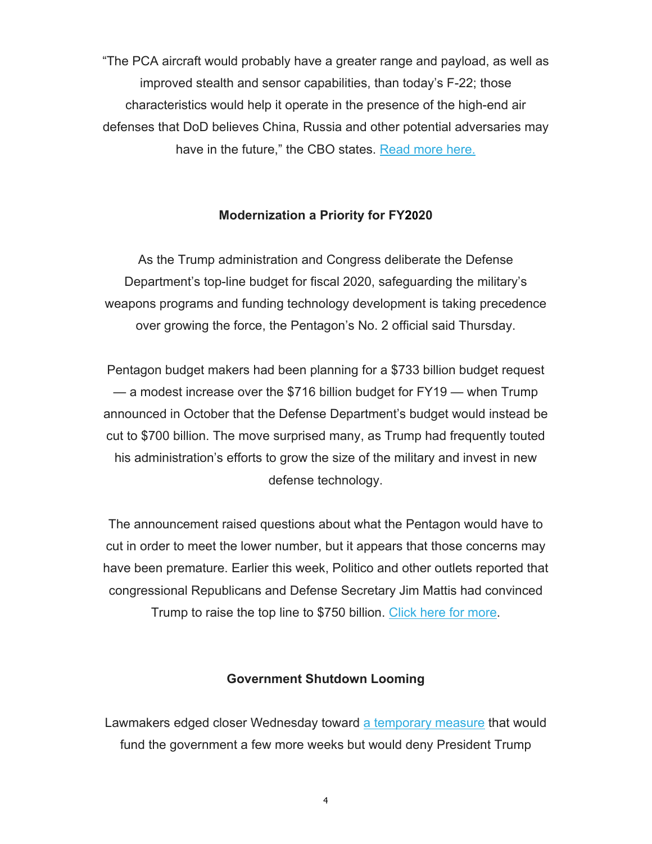"The PCA aircraft would probably have a greater range and payload, as well as improved stealth and sensor capabilities, than today's F-22; those characteristics would help it operate in the presence of the high-end air defenses that DoD believes China, Russia and other potential adversaries may have in the future," the CBO states. Read more here.

#### **Modernization a Priority for FY2020**

As the Trump administration and Congress deliberate the Defense Department's top-line budget for fiscal 2020, safeguarding the military's weapons programs and funding technology development is taking precedence over growing the force, the Pentagon's No. 2 official said Thursday.

Pentagon budget makers had been planning for a \$733 billion budget request — a modest increase over the \$716 billion budget for FY19 — when Trump announced in October that the Defense Department's budget would instead be cut to \$700 billion. The move surprised many, as Trump had frequently touted his administration's efforts to grow the size of the military and invest in new defense technology.

The announcement raised questions about what the Pentagon would have to cut in order to meet the lower number, but it appears that those concerns may have been premature. Earlier this week, Politico and other outlets reported that congressional Republicans and Defense Secretary Jim Mattis had convinced

Trump to raise the top line to \$750 billion. Click here for more.

#### **Government Shutdown Looming**

Lawmakers edged closer Wednesday toward a temporary measure that would fund the government a few more weeks but would deny President Trump

4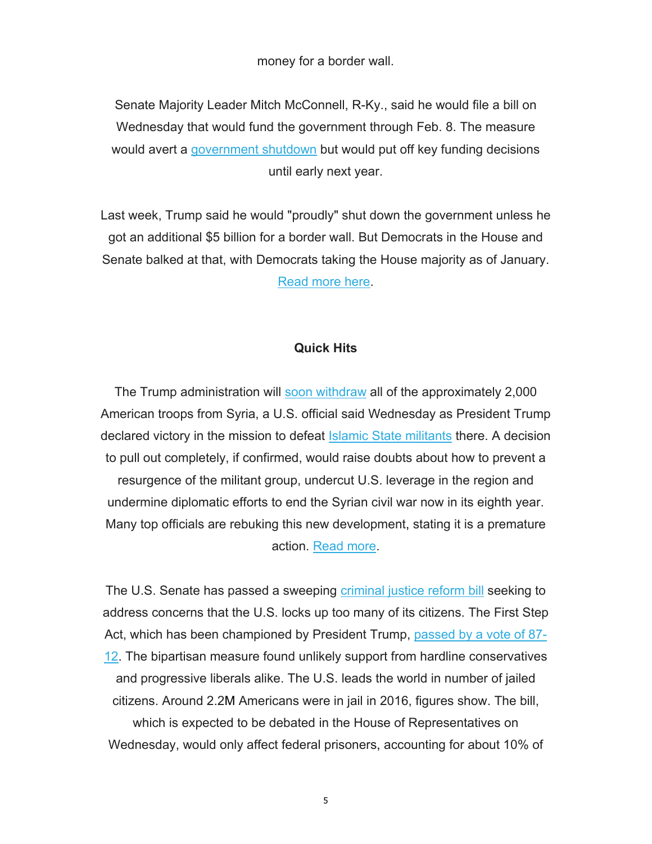money for a border wall.

Senate Majority Leader Mitch McConnell, R-Ky., said he would file a bill on Wednesday that would fund the government through Feb. 8. The measure would avert a government shutdown but would put off key funding decisions until early next year.

Last week, Trump said he would "proudly" shut down the government unless he got an additional \$5 billion for a border wall. But Democrats in the House and Senate balked at that, with Democrats taking the House majority as of January. Read more here.

#### **Quick Hits**

The Trump administration will soon withdraw all of the approximately 2,000 American troops from Syria, a U.S. official said Wednesday as President Trump declared victory in the mission to defeat **Islamic State militants** there. A decision to pull out completely, if confirmed, would raise doubts about how to prevent a resurgence of the militant group, undercut U.S. leverage in the region and undermine diplomatic efforts to end the Syrian civil war now in its eighth year. Many top officials are rebuking this new development, stating it is a premature action. Read more.

The U.S. Senate has passed a sweeping criminal justice reform bill seeking to address concerns that the U.S. locks up too many of its citizens. The First Step Act, which has been championed by President Trump, passed by a vote of 87- 12. The bipartisan measure found unlikely support from hardline conservatives and progressive liberals alike. The U.S. leads the world in number of jailed citizens. Around 2.2M Americans were in jail in 2016, figures show. The bill, which is expected to be debated in the House of Representatives on Wednesday, would only affect federal prisoners, accounting for about 10% of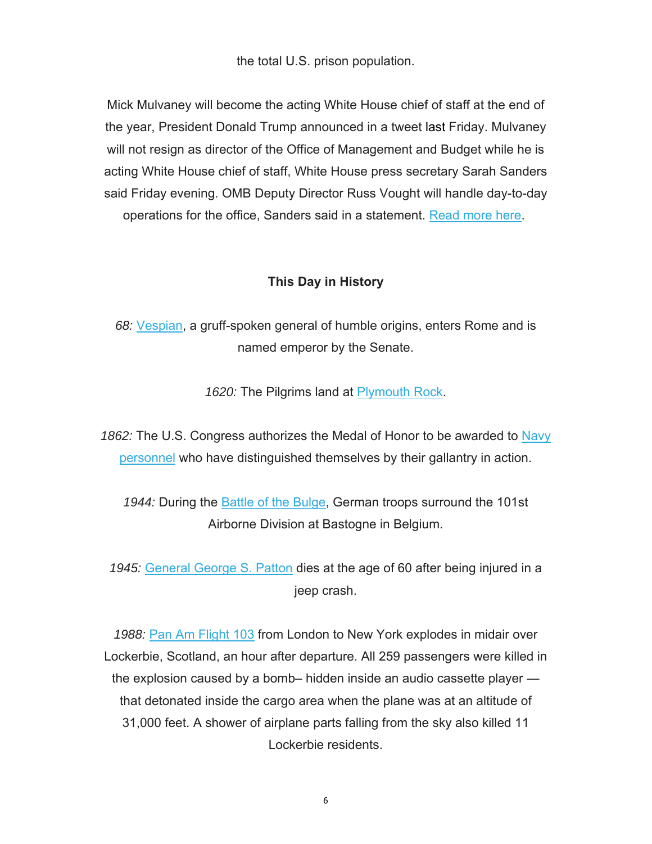the total U.S. prison population.

Mick Mulvaney will become the acting White House chief of staff at the end of the year, President Donald Trump announced in a tweet last Friday. Mulvaney will not resign as director of the Office of Management and Budget while he is acting White House chief of staff, White House press secretary Sarah Sanders said Friday evening. OMB Deputy Director Russ Vought will handle day-to-day operations for the office, Sanders said in a statement. Read more here.

## **This Day in History**

*68:* Vespian, a gruff-spoken general of humble origins, enters Rome and is named emperor by the Senate.

1620: The Pilgrims land at Plymouth Rock.

1862: The U.S. Congress authorizes the Medal of Honor to be awarded to Navy personnel who have distinguished themselves by their gallantry in action.

1944: During the **Battle of the Bulge, German troops surround the 101st** Airborne Division at Bastogne in Belgium.

*1945:* General George S. Patton dies at the age of 60 after being injured in a jeep crash.

*1988:* Pan Am Flight 103 from London to New York explodes in midair over Lockerbie, Scotland, an hour after departure. All 259 passengers were killed in the explosion caused by a bomb– hidden inside an audio cassette player that detonated inside the cargo area when the plane was at an altitude of 31,000 feet. A shower of airplane parts falling from the sky also killed 11 Lockerbie residents.